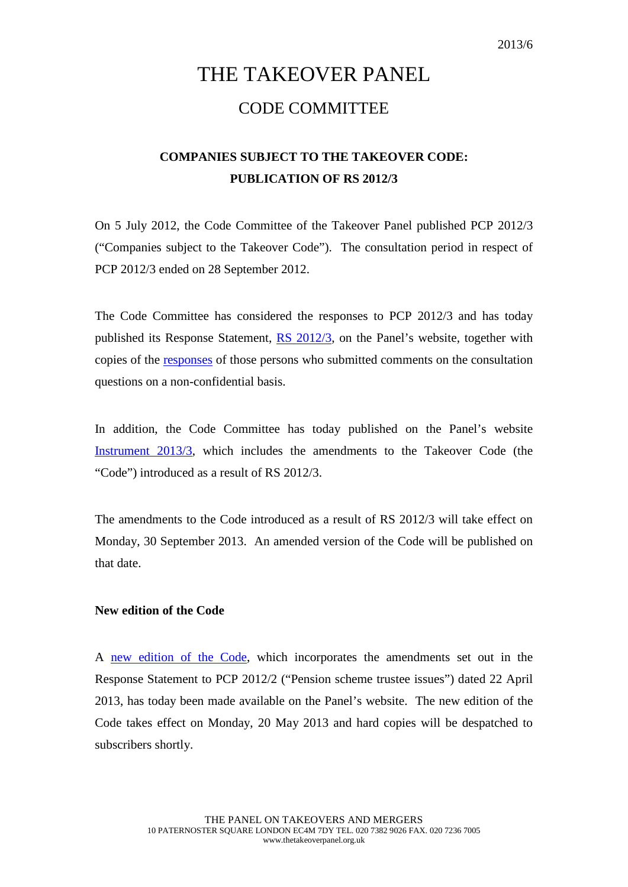## THE TAKEOVER PANEL CODE COMMITTEE

## **COMPANIES SUBJECT TO THE TAKEOVER CODE: PUBLICATION OF RS 2012/3**

On 5 July 2012, the Code Committee of the Takeover Panel published PCP 2012/3 ("Companies subject to the Takeover Code"). The consultation period in respect of PCP 2012/3 ended on 28 September 2012.

The Code Committee has considered the responses to PCP 2012/3 and has today published its Response Statement, [RS 2012/3,](http://www.thetakeoverpanel.org.uk/wp-content/uploads/2008/11/RS201203.pdf) on the Panel's website, together with copies of the [responses](http://www.thetakeoverpanel.org.uk/individual-responses-to-pcp-20123) of those persons who submitted comments on the consultation questions on a non-confidential basis.

In addition, the Code Committee has today published on the Panel's website [Instrument 2013/3,](http://www.thetakeoverpanel.org.uk/wp-content/uploads/2008/11/Instrument-2013-3.pdf) which includes the amendments to the Takeover Code (the "Code") introduced as a result of RS 2012/3.

The amendments to the Code introduced as a result of RS 2012/3 will take effect on Monday, 30 September 2013. An amended version of the Code will be published on that date.

## **New edition of the Code**

A [new edition of the Code,](http://www.thetakeoverpanel.org.uk/wp-content/uploads/2008/11/code.pdf) which incorporates the amendments set out in the Response Statement to PCP 2012/2 ("Pension scheme trustee issues") dated 22 April 2013, has today been made available on the Panel's website. The new edition of the Code takes effect on Monday, 20 May 2013 and hard copies will be despatched to subscribers shortly.